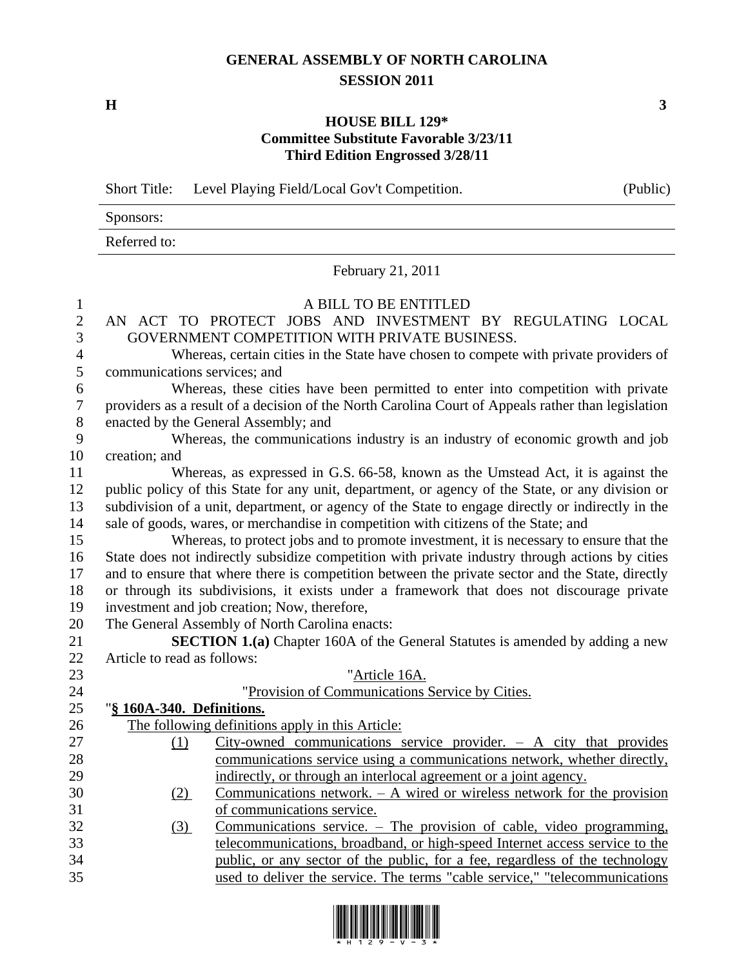## **GENERAL ASSEMBLY OF NORTH CAROLINA SESSION 2011**

**H 3**

## **HOUSE BILL 129\* Committee Substitute Favorable 3/23/11 Third Edition Engrossed 3/28/11**

Short Title: Level Playing Field/Local Gov't Competition. (Public)

Sponsors: Referred to:

February 21, 2011

| $\mathbf{1}$   | A BILL TO BE ENTITLED                                                                                                                                             |  |  |
|----------------|-------------------------------------------------------------------------------------------------------------------------------------------------------------------|--|--|
| $\overline{2}$ | AN ACT TO PROTECT JOBS AND INVESTMENT BY REGULATING LOCAL                                                                                                         |  |  |
| 3              | GOVERNMENT COMPETITION WITH PRIVATE BUSINESS.                                                                                                                     |  |  |
| $\overline{4}$ | Whereas, certain cities in the State have chosen to compete with private providers of                                                                             |  |  |
| 5              | communications services; and                                                                                                                                      |  |  |
| 6              | Whereas, these cities have been permitted to enter into competition with private                                                                                  |  |  |
| $\sqrt{ }$     | providers as a result of a decision of the North Carolina Court of Appeals rather than legislation                                                                |  |  |
| 8              | enacted by the General Assembly; and                                                                                                                              |  |  |
| 9              | Whereas, the communications industry is an industry of economic growth and job                                                                                    |  |  |
| 10             | creation; and                                                                                                                                                     |  |  |
| 11             | Whereas, as expressed in G.S. 66-58, known as the Umstead Act, it is against the                                                                                  |  |  |
| 12             | public policy of this State for any unit, department, or agency of the State, or any division or                                                                  |  |  |
| 13             | subdivision of a unit, department, or agency of the State to engage directly or indirectly in the                                                                 |  |  |
| 14             | sale of goods, wares, or merchandise in competition with citizens of the State; and                                                                               |  |  |
| 15             | Whereas, to protect jobs and to promote investment, it is necessary to ensure that the                                                                            |  |  |
| 16             | State does not indirectly subsidize competition with private industry through actions by cities                                                                   |  |  |
| 17             | and to ensure that where there is competition between the private sector and the State, directly                                                                  |  |  |
| 18             | or through its subdivisions, it exists under a framework that does not discourage private                                                                         |  |  |
| 19             | investment and job creation; Now, therefore,                                                                                                                      |  |  |
| 20             | The General Assembly of North Carolina enacts:                                                                                                                    |  |  |
| 21             | SECTION 1.(a) Chapter 160A of the General Statutes is amended by adding a new                                                                                     |  |  |
| 22             | Article to read as follows:                                                                                                                                       |  |  |
| 23             | "Article 16A.                                                                                                                                                     |  |  |
| 24             | "Provision of Communications Service by Cities.                                                                                                                   |  |  |
| 25             | "§ 160A-340. Definitions.                                                                                                                                         |  |  |
| 26             | The following definitions apply in this Article:                                                                                                                  |  |  |
| 27             | City-owned communications service provider. $-$ A city that provides<br>(1)                                                                                       |  |  |
| 28<br>29       | communications service using a communications network, whether directly,                                                                                          |  |  |
| 30             | indirectly, or through an interlocal agreement or a joint agency.                                                                                                 |  |  |
| 31             | Communications network. $- A$ wired or wireless network for the provision<br>(2)                                                                                  |  |  |
| 32             | of communications service.                                                                                                                                        |  |  |
| 33             | <u>Communications service. – The provision of cable, video programming,</u><br>(3)<br>telecommunications, broadband, or high-speed Internet access service to the |  |  |
| 34             | public, or any sector of the public, for a fee, regardless of the technology                                                                                      |  |  |
| 35             | used to deliver the service. The terms "cable service," "telecommunications                                                                                       |  |  |
|                |                                                                                                                                                                   |  |  |

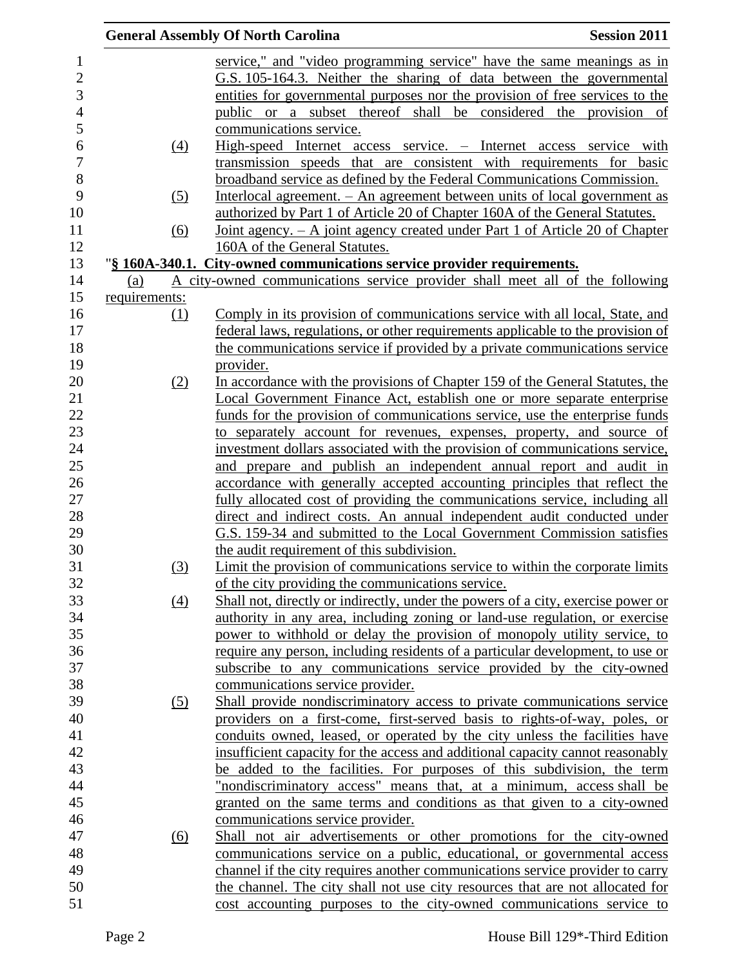|                   | <b>General Assembly Of North Carolina</b><br><b>Session 2011</b>                    |
|-------------------|-------------------------------------------------------------------------------------|
|                   | service," and "video programming service" have the same meanings as in              |
|                   | G.S. 105-164.3. Neither the sharing of data between the governmental                |
|                   | entities for governmental purposes nor the provision of free services to the        |
|                   | public or a subset thereof shall be considered the provision of                     |
|                   | communications service.                                                             |
| $\left(4\right)$  | High-speed Internet access service. – Internet access service with                  |
|                   | transmission speeds that are consistent with requirements for basic                 |
|                   | broadband service as defined by the Federal Communications Commission.              |
| <u>(5)</u>        | Interlocal agreement. - An agreement between units of local government as           |
|                   | authorized by Part 1 of Article 20 of Chapter 160A of the General Statutes.         |
| $\underline{(6)}$ | <u>Joint agency. – A joint agency created under Part 1 of Article 20 of Chapter</u> |
|                   | 160A of the General Statutes.                                                       |
|                   | "§ 160A-340.1. City-owned communications service provider requirements.             |
| (a)               | A city-owned communications service provider shall meet all of the following        |
| requirements:     |                                                                                     |
| (1)               | Comply in its provision of communications service with all local, State, and        |
|                   | federal laws, regulations, or other requirements applicable to the provision of     |
|                   | the communications service if provided by a private communications service          |
|                   | provider.                                                                           |
| (2)               | In accordance with the provisions of Chapter 159 of the General Statutes, the       |
|                   | Local Government Finance Act, establish one or more separate enterprise             |
|                   | funds for the provision of communications service, use the enterprise funds         |
|                   | to separately account for revenues, expenses, property, and source of               |
|                   | investment dollars associated with the provision of communications service,         |
|                   | and prepare and publish an independent annual report and audit in                   |
|                   | accordance with generally accepted accounting principles that reflect the           |
|                   | fully allocated cost of providing the communications service, including all         |
|                   | direct and indirect costs. An annual independent audit conducted under              |
|                   | G.S. 159-34 and submitted to the Local Government Commission satisfies              |
|                   | the audit requirement of this subdivision.                                          |
| (3)               | Limit the provision of communications service to within the corporate limits        |
|                   | of the city providing the communications service.                                   |
| (4)               | Shall not, directly or indirectly, under the powers of a city, exercise power or    |
|                   | authority in <u>any area, including zoning or land-use regulation</u> , or exercise |
|                   | power to withhold or delay the provision of monopoly utility service, to            |
|                   | require any person, including residents of a particular development, to use or      |
|                   | subscribe to any communications service provided by the city-owned                  |
|                   | communications service provider.                                                    |
| (5)               | Shall provide nondiscriminatory access to private communications service            |
|                   | providers on a first-come, first-served basis to rights-of-way, poles, or           |
|                   | conduits owned, leased, or operated by the city unless the facilities have          |
|                   | insufficient capacity for the access and additional capacity cannot reasonably      |
|                   | be added to the facilities. For purposes of this subdivision, the term              |
|                   | "nondiscriminatory access" means that, at a minimum, access shall be                |
|                   | granted on the same terms and conditions as that given to a city-owned              |
|                   | communications service provider.                                                    |
| (6)               | Shall not air advertisements or other promotions for the city-owned                 |
|                   | communications service on a public, educational, or governmental access             |
|                   | channel if the city requires another communications service provider to carry       |
|                   | the channel. The city shall not use city resources that are not allocated for       |
|                   | cost accounting purposes to the city-owned communications service to                |
|                   |                                                                                     |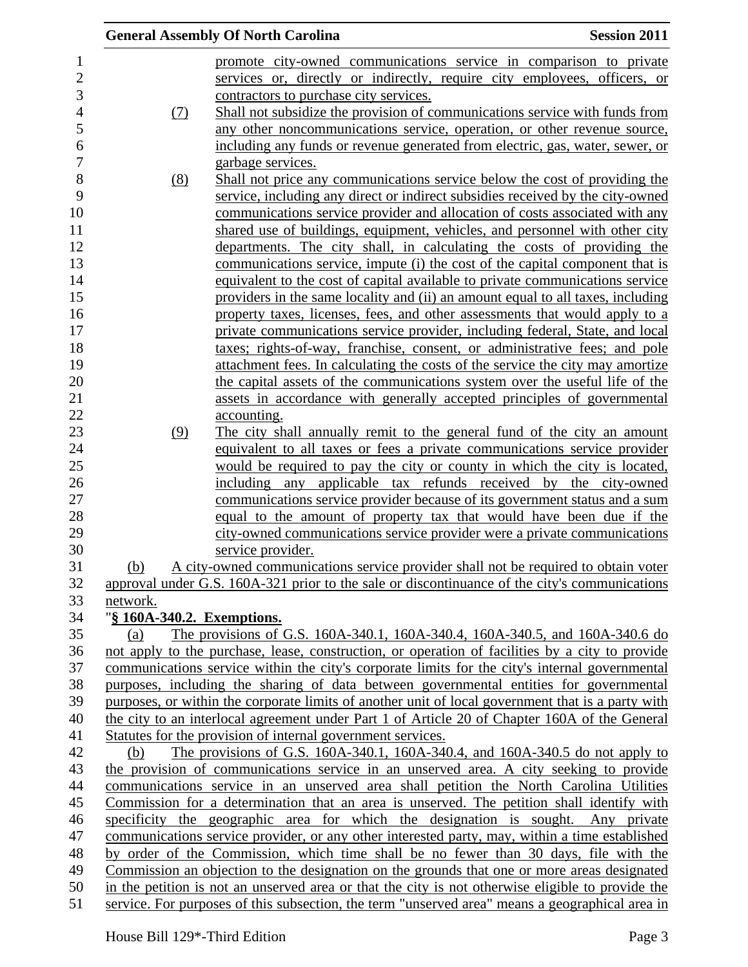|                            | <b>General Assembly Of North Carolina</b>                                                         | <b>Session 2011</b> |
|----------------------------|---------------------------------------------------------------------------------------------------|---------------------|
|                            | promote city-owned communications service in comparison to private                                |                     |
|                            | services or, directly or indirectly, require city employees, officers, or                         |                     |
|                            | contractors to purchase city services.                                                            |                     |
| <u>(7)</u>                 | Shall not subsidize the provision of communications service with funds from                       |                     |
|                            | any other noncommunications service, operation, or other revenue source,                          |                     |
|                            | including any funds or revenue generated from electric, gas, water, sewer, or                     |                     |
|                            | garbage services.                                                                                 |                     |
| <u>(8)</u>                 | Shall not price any communications service below the cost of providing the                        |                     |
|                            | service, including any direct or indirect subsidies received by the city-owned                    |                     |
|                            | communications service provider and allocation of costs associated with any                       |                     |
|                            | shared use of buildings, equipment, vehicles, and personnel with other city                       |                     |
|                            | departments. The city shall, in calculating the costs of providing the                            |                     |
|                            | communications service, impute (i) the cost of the capital component that is                      |                     |
|                            | equivalent to the cost of capital available to private communications service                     |                     |
|                            | providers in the same locality and (ii) an amount equal to all taxes, including                   |                     |
|                            | property taxes, licenses, fees, and other assessments that would apply to a                       |                     |
|                            | private communications service provider, including federal, State, and local                      |                     |
|                            | taxes; rights-of-way, franchise, consent, or administrative fees; and pole                        |                     |
|                            | attachment fees. In calculating the costs of the service the city may amortize                    |                     |
|                            | the capital assets of the communications system over the useful life of the                       |                     |
|                            | assets in accordance with generally accepted principles of governmental                           |                     |
|                            | accounting.                                                                                       |                     |
| (9)                        | The city shall annually remit to the general fund of the city an amount                           |                     |
|                            | equivalent to all taxes or fees a private communications service provider                         |                     |
|                            | would be required to pay the city or county in which the city is located,                         |                     |
|                            | including any applicable tax refunds received by the city-owned                                   |                     |
|                            | communications service provider because of its government status and a sum                        |                     |
|                            | equal to the amount of property tax that would have been due if the                               |                     |
|                            | city-owned communications service provider were a private communications                          |                     |
|                            | service provider.                                                                                 |                     |
| (b)                        | A city-owned communications service provider shall not be required to obtain voter                |                     |
|                            | approval under G.S. 160A-321 prior to the sale or discontinuance of the city's communications     |                     |
| network.                   |                                                                                                   |                     |
| "§ 160A-340.2. Exemptions. |                                                                                                   |                     |
| (a)                        | The provisions of G.S. 160A-340.1, 160A-340.4, 160A-340.5, and 160A-340.6 do                      |                     |
|                            | not apply to the purchase, lease, construction, or operation of facilities by a city to provide   |                     |
|                            | communications service within the city's corporate limits for the city's internal governmental    |                     |
|                            | purposes, including the sharing of data between governmental entities for governmental            |                     |
|                            | purposes, or within the corporate limits of another unit of local government that is a party with |                     |
|                            | the city to an interlocal agreement under Part 1 of Article 20 of Chapter 160A of the General     |                     |
|                            | Statutes for the provision of internal government services.                                       |                     |
| (b)                        | The provisions of G.S. 160A-340.1, 160A-340.4, and 160A-340.5 do not apply to                     |                     |
|                            | the provision of communications service in an unserved area. A city seeking to provide            |                     |
|                            | communications service in an unserved area shall petition the North Carolina Utilities            |                     |
|                            | Commission for a determination that an area is unserved. The petition shall identify with         |                     |
|                            | specificity the geographic area for which the designation is sought. Any private                  |                     |
|                            | communications service provider, or any other interested party, may, within a time established    |                     |
|                            | by order of the Commission, which time shall be no fewer than 30 days, file with the              |                     |
|                            | Commission an objection to the designation on the grounds that one or more areas designated       |                     |
|                            | in the petition is not an unserved area or that the city is not otherwise eligible to provide the |                     |
|                            | service. For purposes of this subsection, the term "unserved area" means a geographical area in   |                     |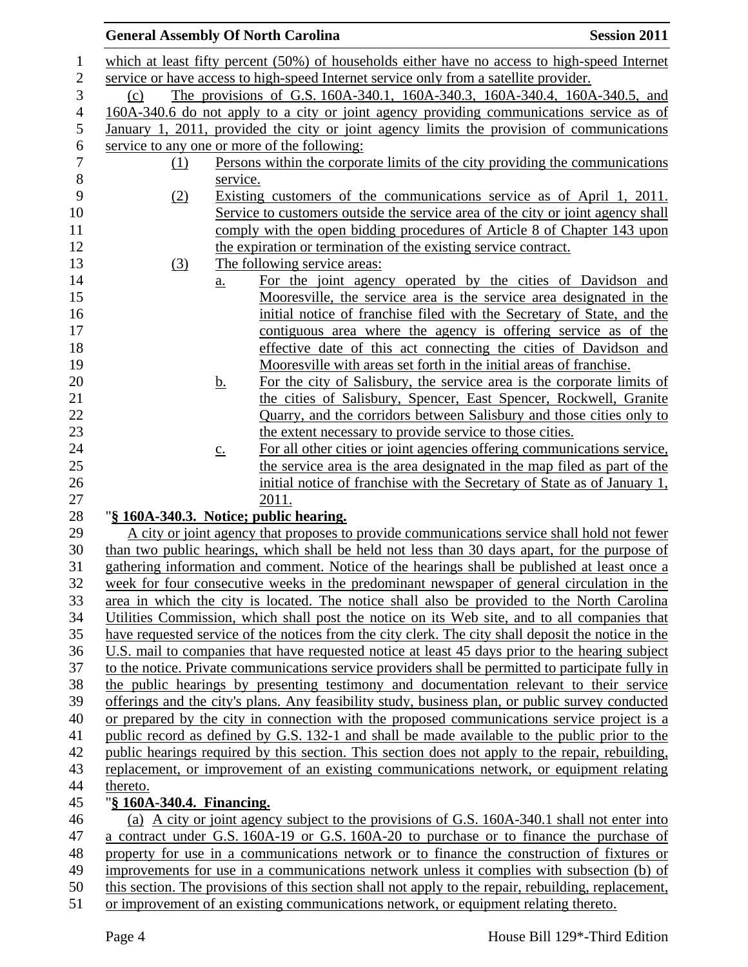|                           |                   | <b>General Assembly Of North Carolina</b>                                                                                                                                                | <b>Session 2011</b> |
|---------------------------|-------------------|------------------------------------------------------------------------------------------------------------------------------------------------------------------------------------------|---------------------|
|                           |                   | which at least fifty percent $(50\%)$ of households either have no access to high-speed Internet                                                                                         |                     |
|                           |                   | service or have access to high-speed Internet service only from a satellite provider.                                                                                                    |                     |
| (c)                       |                   | The provisions of G.S. 160A-340.1, 160A-340.3, 160A-340.4, 160A-340.5, and                                                                                                               |                     |
|                           |                   | 160A-340.6 do not apply to a city or joint agency providing communications service as of                                                                                                 |                     |
|                           |                   | January 1, 2011, provided the city or joint agency limits the provision of communications                                                                                                |                     |
|                           |                   | service to any one or more of the following:                                                                                                                                             |                     |
| (1)                       |                   | Persons within the corporate limits of the city providing the communications                                                                                                             |                     |
|                           | service.          |                                                                                                                                                                                          |                     |
| (2)                       |                   | Existing customers of the communications service as of April 1, 2011.                                                                                                                    |                     |
|                           |                   | Service to customers outside the service area of the city or joint agency shall                                                                                                          |                     |
|                           |                   | comply with the open bidding procedures of Article 8 of Chapter 143 upon                                                                                                                 |                     |
|                           |                   | the expiration or termination of the existing service contract.                                                                                                                          |                     |
| <u>(3)</u>                |                   | The following service areas:                                                                                                                                                             |                     |
|                           | <u>a.</u>         | For the joint agency operated by the cities of Davidson and                                                                                                                              |                     |
|                           |                   | Mooresville, the service area is the service area designated in the                                                                                                                      |                     |
|                           |                   | initial notice of franchise filed with the Secretary of State, and the                                                                                                                   |                     |
|                           |                   | contiguous area where the agency is offering service as of the                                                                                                                           |                     |
|                           |                   | effective date of this act connecting the cities of Davidson and                                                                                                                         |                     |
|                           |                   | Mooresville with areas set forth in the initial areas of franchise.                                                                                                                      |                     |
|                           | <u>b.</u>         | For the city of Salisbury, the service area is the corporate limits of                                                                                                                   |                     |
|                           |                   | the cities of Salisbury, Spencer, East Spencer, Rockwell, Granite                                                                                                                        |                     |
|                           |                   | Quarry, and the corridors between Salisbury and those cities only to                                                                                                                     |                     |
|                           |                   | the extent necessary to provide service to those cities.                                                                                                                                 |                     |
|                           | $\underline{c}$ . | For all other cities or joint agencies offering communications service,                                                                                                                  |                     |
|                           |                   | the service area is the area designated in the map filed as part of the<br>initial notice of franchise with the Secretary of State as of January 1,                                      |                     |
|                           |                   | 2011.                                                                                                                                                                                    |                     |
|                           |                   | "§ 160A-340.3. Notice; public hearing.                                                                                                                                                   |                     |
|                           |                   | A city or joint agency that proposes to provide communications service shall hold not fewer                                                                                              |                     |
|                           |                   | than two public hearings, which shall be held not less than 30 days apart, for the purpose of                                                                                            |                     |
|                           |                   | gathering information and comment. Notice of the hearings shall be published at least once a                                                                                             |                     |
|                           |                   | week for four consecutive weeks in the predominant newspaper of general circulation in the                                                                                               |                     |
|                           |                   | area in which the city is located. The notice shall also be provided to the North Carolina                                                                                               |                     |
|                           |                   | Utilities Commission, which shall post the notice on its Web site, and to all companies that                                                                                             |                     |
|                           |                   | have requested service of the notices from the city clerk. The city shall deposit the notice in the                                                                                      |                     |
|                           |                   | U.S. mail to companies that have requested notice at least 45 days prior to the hearing subject                                                                                          |                     |
|                           |                   | to the notice. Private communications service providers shall be permitted to participate fully in                                                                                       |                     |
|                           |                   | the public hearings by presenting testimony and documentation relevant to their service                                                                                                  |                     |
|                           |                   | offerings and the city's plans. Any feasibility study, business plan, or public survey conducted                                                                                         |                     |
|                           |                   | or prepared by the city in connection with the proposed communications service project is a                                                                                              |                     |
|                           |                   | public record as defined by G.S. 132-1 and shall be made available to the public prior to the                                                                                            |                     |
|                           |                   | public hearings required by this section. This section does not apply to the repair, rebuilding,                                                                                         |                     |
|                           |                   | replacement, or improvement of an existing communications network, or equipment relating                                                                                                 |                     |
| thereto.                  |                   |                                                                                                                                                                                          |                     |
| "§ 160A-340.4. Financing. |                   |                                                                                                                                                                                          |                     |
|                           |                   | (a) A city or joint agency subject to the provisions of G.S. 160A-340.1 shall not enter into                                                                                             |                     |
|                           |                   | a contract under G.S. 160A-19 or G.S. 160A-20 to purchase or to finance the purchase of                                                                                                  |                     |
|                           |                   | property for use in a communications network or to finance the construction of fixtures or<br>improvements for use in a communications network unless it complies with subsection (b) of |                     |
|                           |                   | this section. The provisions of this section shall not apply to the repair, rebuilding, replacement,                                                                                     |                     |
|                           |                   | or improvement of an existing communications network, or equipment relating thereto.                                                                                                     |                     |
|                           |                   |                                                                                                                                                                                          |                     |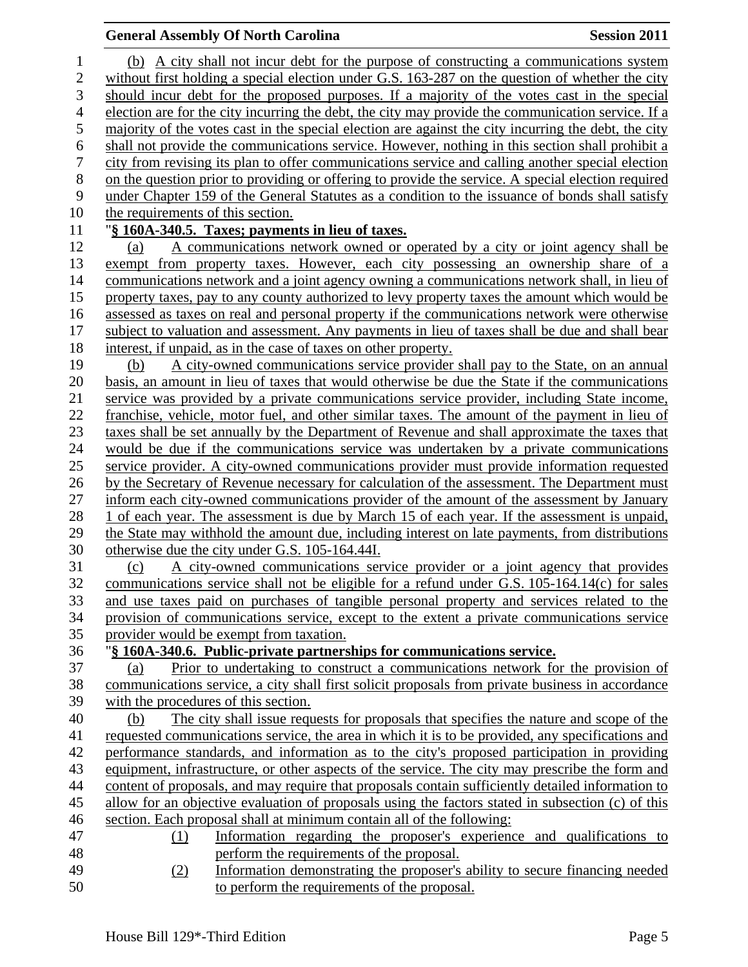## **General Assembly Of North Carolina Session 2011**

| $\mathbf 1$      |                                   | (b) A city shall not incur debt for the purpose of constructing a communications system              |
|------------------|-----------------------------------|------------------------------------------------------------------------------------------------------|
| $\boldsymbol{2}$ |                                   | without first holding a special election under G.S. 163-287 on the question of whether the city      |
| 3                |                                   | should incur debt for the proposed purposes. If a majority of the votes cast in the special          |
| $\overline{4}$   |                                   | election are for the city incurring the debt, the city may provide the communication service. If a   |
| 5                |                                   | majority of the votes cast in the special election are against the city incurring the debt, the city |
| 6                |                                   | shall not provide the communications service. However, nothing in this section shall prohibit a      |
| $\tau$           |                                   | city from revising its plan to offer communications service and calling another special election     |
| 8                |                                   | on the question prior to providing or offering to provide the service. A special election required   |
| 9                |                                   | under Chapter 159 of the General Statutes as a condition to the issuance of bonds shall satisfy      |
| 10               | the requirements of this section. |                                                                                                      |
| 11               |                                   | "§ 160A-340.5. Taxes; payments in lieu of taxes.                                                     |
| 12               | (a)                               | A communications network owned or operated by a city or joint agency shall be                        |
| 13               |                                   | exempt from property taxes. However, each city possessing an ownership share of a                    |
| 14               |                                   | communications network and a joint agency owning a communications network shall, in lieu of          |
| 15               |                                   | property taxes, pay to any county authorized to levy property taxes the amount which would be        |
| 16               |                                   | assessed as taxes on real and personal property if the communications network were otherwise         |
| 17               |                                   | subject to valuation and assessment. Any payments in lieu of taxes shall be due and shall bear       |
| 18               |                                   | interest, if unpaid, as in the case of taxes on other property.                                      |
| 19               | (b)                               | A city-owned communications service provider shall pay to the State, on an annual                    |
| 20               |                                   | basis, an amount in lieu of taxes that would otherwise be due the State if the communications        |
| 21               |                                   | service was provided by a private communications service provider, including State income,           |
| 22               |                                   | franchise, vehicle, motor fuel, and other similar taxes. The amount of the payment in lieu of        |
| 23               |                                   | taxes shall be set annually by the Department of Revenue and shall approximate the taxes that        |
| 24               |                                   | would be due if the communications service was undertaken by a private communications                |
| 25               |                                   | service provider. A city-owned communications provider must provide information requested            |
| 26               |                                   | by the Secretary of Revenue necessary for calculation of the assessment. The Department must         |
| 27               |                                   | inform each city-owned communications provider of the amount of the assessment by January            |
| 28               |                                   | of each year. The assessment is due by March 15 of each year. If the assessment is unpaid,           |
| 29               |                                   | the State may withhold the amount due, including interest on late payments, from distributions       |
| 30               |                                   | otherwise due the city under G.S. 105-164.44I.                                                       |
| 31               | (c)                               | A city-owned communications service provider or a joint agency that provides                         |
| 32               |                                   | communications service shall not be eligible for a refund under G.S. 105-164.14(c) for sales         |
| 33               |                                   | and use taxes paid on purchases of tangible personal property and services related to the            |
| 34               |                                   | provision of communications service, except to the extent a private communications service           |
| 35               |                                   | provider would be exempt from taxation.                                                              |
| 36               |                                   | "§ 160A-340.6. Public-private partnerships for communications service.                               |
| 37               | (a)                               | Prior to undertaking to construct a communications network for the provision of                      |
| 38               |                                   | communications service, a city shall first solicit proposals from private business in accordance     |
| 39               |                                   | with the procedures of this section.                                                                 |
| 40               | (b)                               | The city shall issue requests for proposals that specifies the nature and scope of the               |
| 41               |                                   | requested communications service, the area in which it is to be provided, any specifications and     |
| 42               |                                   | performance standards, and information as to the city's proposed participation in providing          |
| 43               |                                   | equipment, infrastructure, or other aspects of the service. The city may prescribe the form and      |
| 44               |                                   | content of proposals, and may require that proposals contain sufficiently detailed information to    |
| 45               |                                   | allow for an objective evaluation of proposals using the factors stated in subsection (c) of this    |
| 46               |                                   | section. Each proposal shall at minimum contain all of the following:                                |
| 47               | (1)                               | Information regarding the proposer's experience and qualifications to                                |
| 48               |                                   | perform the requirements of the proposal.                                                            |
| 49               | (2)                               | Information demonstrating the proposer's ability to secure financing needed                          |
| 50               |                                   | to perform the requirements of the proposal.                                                         |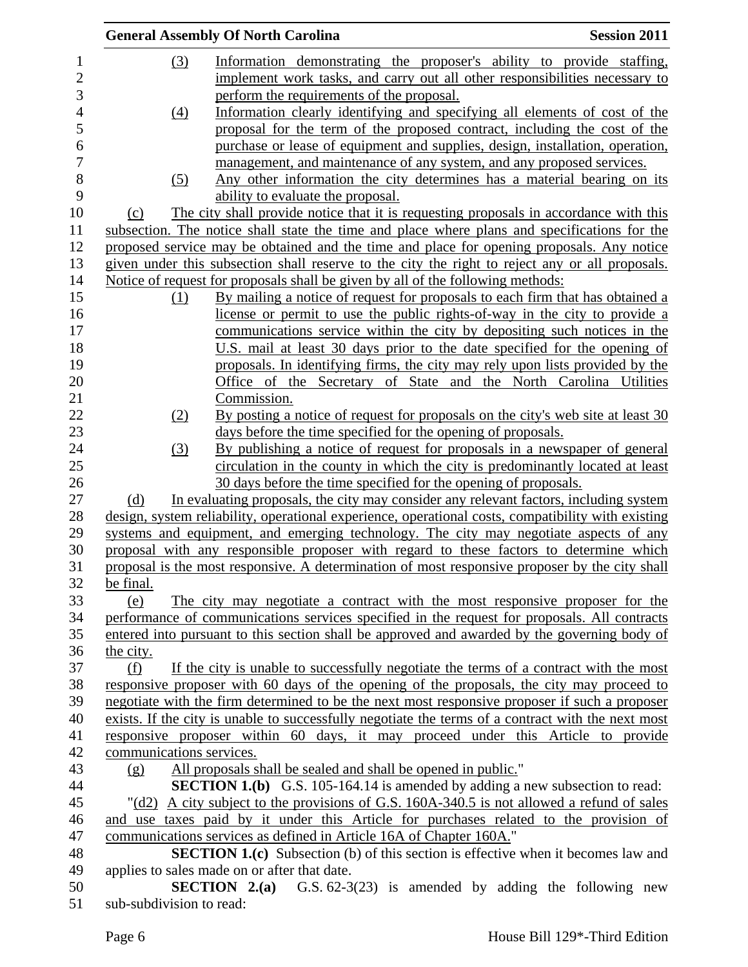|                |                          | <b>General Assembly Of North Carolina</b>                                                               | <b>Session 2011</b> |
|----------------|--------------------------|---------------------------------------------------------------------------------------------------------|---------------------|
| $\mathbf{1}$   | (3)                      | Information demonstrating the proposer's ability to provide staffing,                                   |                     |
| $\overline{2}$ |                          | implement work tasks, and carry out all other responsibilities necessary to                             |                     |
| 3              |                          | perform the requirements of the proposal.                                                               |                     |
| $\overline{4}$ | $\left(4\right)$         | Information clearly identifying and specifying all elements of cost of the                              |                     |
| 5              |                          | proposal for the term of the proposed contract, including the cost of the                               |                     |
| 6              |                          | purchase or lease of equipment and supplies, design, installation, operation,                           |                     |
| 7              |                          | management, and maintenance of any system, and any proposed services.                                   |                     |
| 8              | (5)                      | Any other information the city determines has a material bearing on its                                 |                     |
| 9              |                          | ability to evaluate the proposal.                                                                       |                     |
| 10             | (c)                      | The city shall provide notice that it is requesting proposals in accordance with this                   |                     |
| 11             |                          | subsection. The notice shall state the time and place where plans and specifications for the            |                     |
| 12             |                          | proposed service may be obtained and the time and place for opening proposals. Any notice               |                     |
| 13             |                          | given under this subsection shall reserve to the city the right to reject any or all proposals.         |                     |
| 14             |                          | Notice of request for proposals shall be given by all of the following methods:                         |                     |
| 15             | (1)                      | By mailing a notice of request for proposals to each firm that has obtained a                           |                     |
| 16             |                          | license or permit to use the public rights-of-way in the city to provide a                              |                     |
| 17             |                          | communications service within the city by depositing such notices in the                                |                     |
| 18             |                          | U.S. mail at least 30 days prior to the date specified for the opening of                               |                     |
| 19             |                          | proposals. In identifying firms, the city may rely upon lists provided by the                           |                     |
| 20             |                          | Office of the Secretary of State and the North Carolina Utilities                                       |                     |
| 21             |                          | Commission.                                                                                             |                     |
| 22             | <u>(2)</u>               | By posting a notice of request for proposals on the city's web site at least 30                         |                     |
| 23             |                          | days before the time specified for the opening of proposals.                                            |                     |
| 24             | (3)                      | By publishing a notice of request for proposals in a newspaper of general                               |                     |
| 25             |                          | circulation in the county in which the city is predominantly located at least                           |                     |
| 26             |                          | 30 days before the time specified for the opening of proposals.                                         |                     |
| 27             | (d)                      | In evaluating proposals, the city may consider any relevant factors, including system                   |                     |
| 28             |                          | design, system reliability, operational experience, operational costs, compatibility with existing      |                     |
| 29             |                          | systems and equipment, and emerging technology. The city may negotiate aspects of any                   |                     |
| 30             |                          | proposal with any responsible proposer with regard to these factors to determine which                  |                     |
| 31             |                          | proposal is the most responsive. A determination of most responsive proposer by the city shall          |                     |
| 32             | be final.                |                                                                                                         |                     |
| 33             | (e)                      | The city may negotiate a contract with the most responsive proposer for the                             |                     |
| 34             |                          | performance of communications services specified in the request for proposals. All contracts            |                     |
| 35             |                          | entered into pursuant to this section shall be approved and awarded by the governing body of            |                     |
| 36             | the city.                |                                                                                                         |                     |
| 37             | (f)                      | If the city is unable to successfully negotiate the terms of a contract with the most                   |                     |
| 38             |                          | responsive proposer with 60 days of the opening of the proposals, the city may proceed to               |                     |
| 39             |                          | negotiate with the firm determined to be the next most responsive proposer if such a proposer           |                     |
| 40             |                          | exists. If the city is unable to successfully negotiate the terms of a contract with the next most      |                     |
| 41             |                          | responsive proposer within 60 days, it may proceed under this Article to provide                        |                     |
| 42             | communications services. |                                                                                                         |                     |
| 43             | (g)                      | All proposals shall be sealed and shall be opened in public."                                           |                     |
| 44             |                          | <b>SECTION 1.(b)</b> G.S. 105-164.14 is amended by adding a new subsection to read:                     |                     |
| 45             |                          | $\frac{1}{2}$ (d2) A city subject to the provisions of G.S. 160A-340.5 is not allowed a refund of sales |                     |
| 46             |                          | and use taxes paid by it under this Article for purchases related to the provision of                   |                     |
| 47             |                          | communications services as defined in Article 16A of Chapter 160A."                                     |                     |
| 48             |                          | <b>SECTION 1.(c)</b> Subsection (b) of this section is effective when it becomes law and                |                     |
| 49             |                          | applies to sales made on or after that date.                                                            |                     |
| 50             |                          | <b>SECTION</b> 2.(a) G.S. $62-3(23)$ is amended by adding the following new                             |                     |
| 51             | sub-subdivision to read: |                                                                                                         |                     |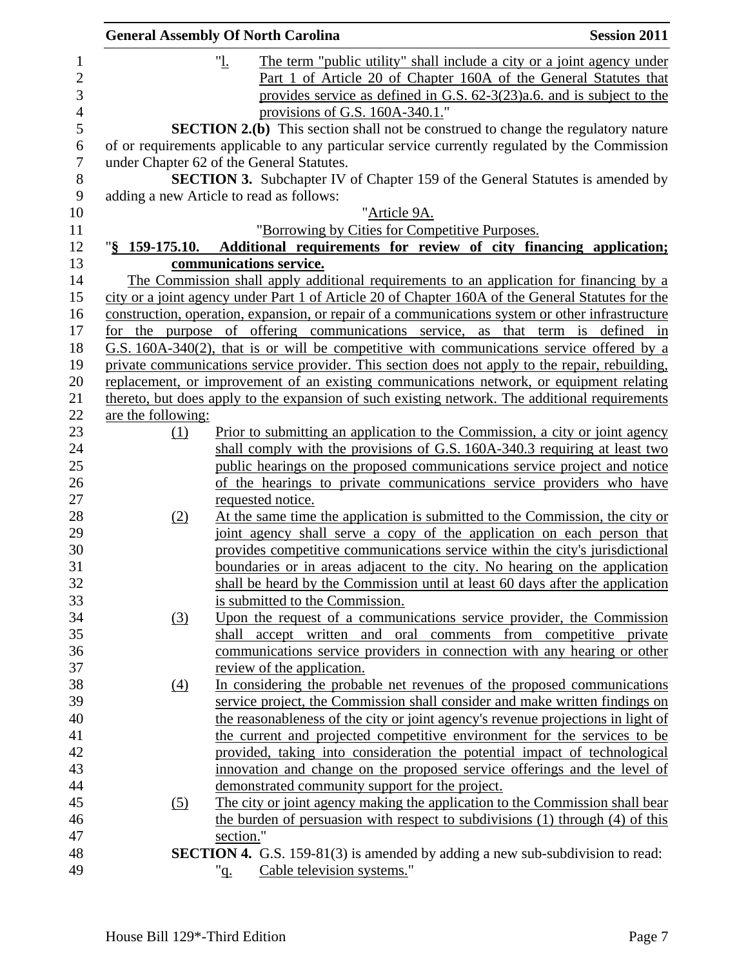|                    | <b>General Assembly Of North Carolina</b>                                                                                                               | <b>Session 2011</b> |
|--------------------|---------------------------------------------------------------------------------------------------------------------------------------------------------|---------------------|
|                    | " <u>l.</u><br>The term "public utility" shall include a city or a joint agency under                                                                   |                     |
|                    | Part 1 of Article 20 of Chapter 160A of the General Statutes that                                                                                       |                     |
|                    | provides service as defined in G.S. 62-3(23)a.6. and is subject to the                                                                                  |                     |
|                    | provisions of G.S. 160A-340.1."                                                                                                                         |                     |
|                    | <b>SECTION 2.(b)</b> This section shall not be construed to change the regulatory nature                                                                |                     |
|                    | of or requirements applicable to any particular service currently regulated by the Commission                                                           |                     |
|                    | under Chapter 62 of the General Statutes.                                                                                                               |                     |
|                    | <b>SECTION 3.</b> Subchapter IV of Chapter 159 of the General Statutes is amended by                                                                    |                     |
|                    | adding a new Article to read as follows:                                                                                                                |                     |
|                    | "Article 9A.                                                                                                                                            |                     |
|                    | "Borrowing by Cities for Competitive Purposes.                                                                                                          |                     |
|                    | "§ 159-175.10. Additional requirements for review of city financing application;                                                                        |                     |
|                    | communications service.                                                                                                                                 |                     |
|                    | The Commission shall apply additional requirements to an application for financing by a                                                                 |                     |
|                    | city or a joint agency under Part 1 of Article 20 of Chapter 160A of the General Statutes for the                                                       |                     |
|                    | construction, operation, expansion, or repair of a communications system or other infrastructure                                                        |                     |
|                    | for the purpose of offering communications service, as that term is defined in                                                                          |                     |
|                    | G.S. 160A-340(2), that is or will be competitive with communications service offered by a                                                               |                     |
|                    | private communications service provider. This section does not apply to the repair, rebuilding,                                                         |                     |
|                    | replacement, or improvement of an existing communications network, or equipment relating                                                                |                     |
|                    | thereto, but does apply to the expansion of such existing network. The additional requirements                                                          |                     |
| are the following: |                                                                                                                                                         |                     |
|                    | Prior to submitting an application to the Commission, a city or joint agency                                                                            |                     |
| (1)                |                                                                                                                                                         |                     |
|                    | shall comply with the provisions of G.S. 160A-340.3 requiring at least two<br>public hearings on the proposed communications service project and notice |                     |
|                    |                                                                                                                                                         |                     |
|                    | of the hearings to private communications service providers who have                                                                                    |                     |
|                    | requested notice.                                                                                                                                       |                     |
| <u>(2)</u>         | At the same time the application is submitted to the Commission, the city or                                                                            |                     |
|                    | joint agency shall serve a copy of the application on each person that                                                                                  |                     |
|                    | provides competitive communications service within the city's jurisdictional                                                                            |                     |
|                    | boundaries or in areas adjacent to the city. No hearing on the application                                                                              |                     |
|                    | shall be heard by the Commission until at least 60 days after the application                                                                           |                     |
|                    | is submitted to the Commission.                                                                                                                         |                     |
| (3)                | Upon the request of a communications service provider, the Commission                                                                                   |                     |
|                    | shall accept written and oral comments from competitive private                                                                                         |                     |
|                    | communications service providers in connection with any hearing or other                                                                                |                     |
|                    | review of the application.                                                                                                                              |                     |
| <u>(4)</u>         | In considering the probable net revenues of the proposed communications                                                                                 |                     |
|                    | service project, the Commission shall consider and make written findings on                                                                             |                     |
|                    | the reasonableness of the city or joint agency's revenue projections in light of                                                                        |                     |
|                    | the current and projected competitive environment for the services to be                                                                                |                     |
|                    | provided, taking into consideration the potential impact of technological                                                                               |                     |
|                    | innovation and change on the proposed service offerings and the level of                                                                                |                     |
|                    | demonstrated community support for the project.                                                                                                         |                     |
| (5)                | The city or joint agency making the application to the Commission shall bear                                                                            |                     |
|                    | the burden of persuasion with respect to subdivisions (1) through (4) of this                                                                           |                     |
|                    | section."                                                                                                                                               |                     |
|                    | <b>SECTION 4.</b> G.S. 159-81(3) is amended by adding a new sub-subdivision to read:                                                                    |                     |
|                    | " <u>q.</u><br>Cable television systems."                                                                                                               |                     |